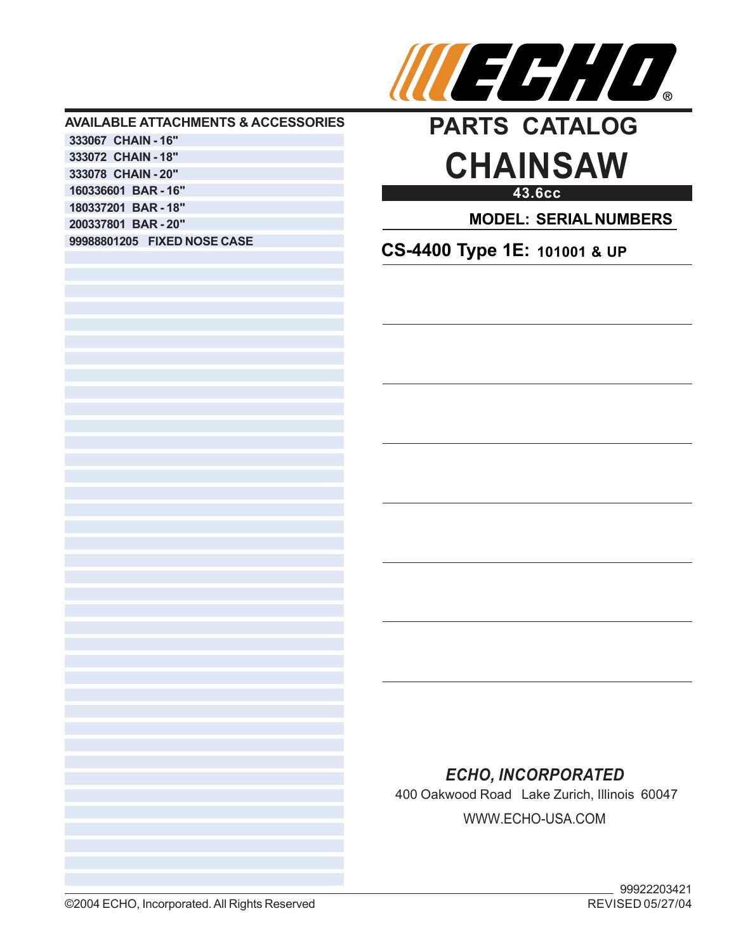

## **AVAILABLE ATTACHMENTS & ACCESSORIES 333067 CHAIN - 16" 333072 CHAIN - 18" 333078 CHAIN - 20" 160336601 BAR - 16" 180337201 BAR - 18" 200337801 BAR - 20" 99988801205 FIXED NOSE CASE**



**43.6cc**

**MODEL: SERIAL NUMBERS**

**CS-4400 Type 1E: 101001 & UP**

## *ECHO, INCORPORATED*

400 Oakwood Road Lake Zurich, Illinois 60047 WWW.ECHO-USA.COM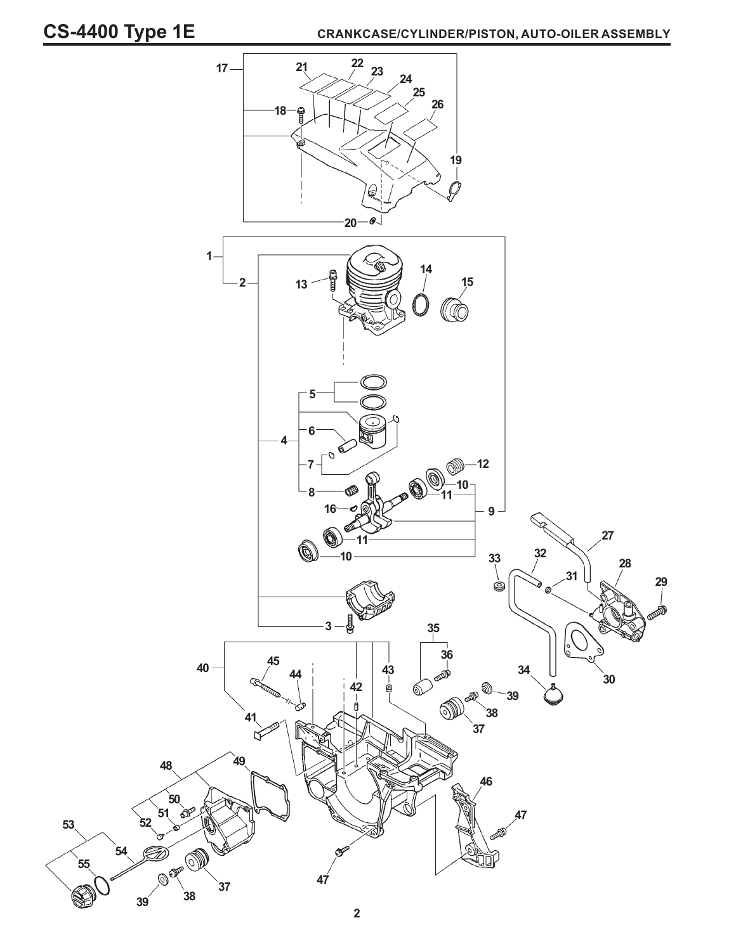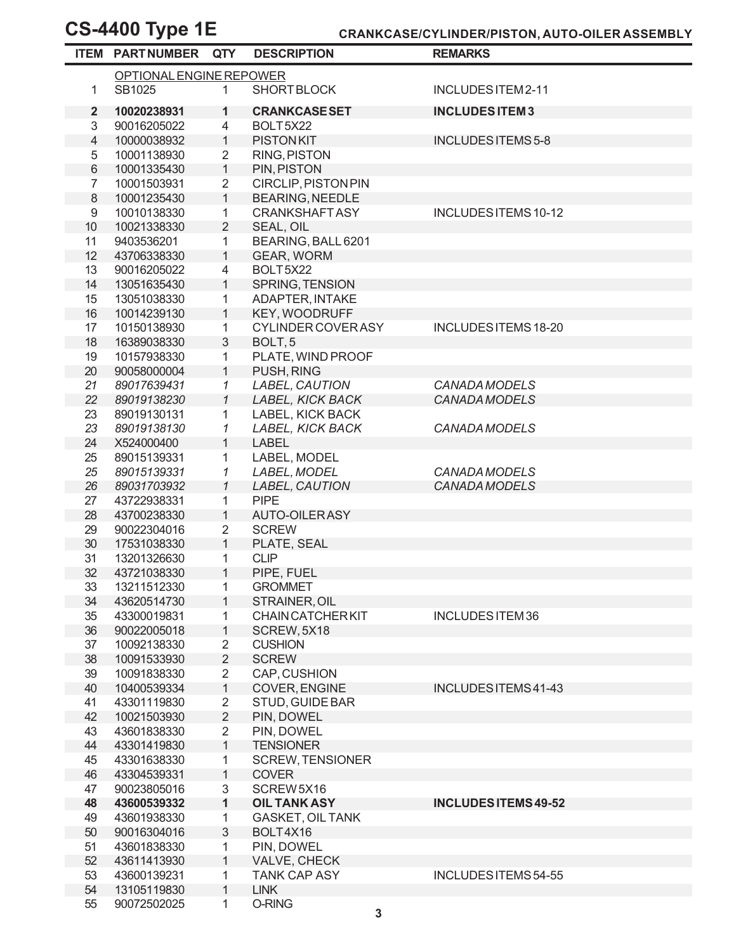|                          | <b>ITEM PARTNUMBER QTY</b> |                   | <b>DESCRIPTION</b>              | <b>REMARKS</b>              |  |
|--------------------------|----------------------------|-------------------|---------------------------------|-----------------------------|--|
| OPTIONAL ENGINE REPOWER  |                            |                   |                                 |                             |  |
| 1                        | SB1025                     | 1                 | <b>SHORT BLOCK</b>              | INCLUDES ITEM 2-11          |  |
| $\mathbf{2}$             | 10020238931                | 1                 | <b>CRANKCASE SET</b>            | <b>INCLUDES ITEM 3</b>      |  |
| 3                        | 90016205022                | 4                 | BOLT5X22                        |                             |  |
| $\overline{\mathcal{L}}$ | 10000038932                | $\mathbf{1}$      | <b>PISTONKIT</b>                | <b>INCLUDES ITEMS 5-8</b>   |  |
| 5                        | 10001138930                | $\overline{2}$    | <b>RING, PISTON</b>             |                             |  |
| $\,6\,$                  | 10001335430                | $\mathbf{1}$      | PIN, PISTON                     |                             |  |
| $\overline{7}$           | 10001503931                | $\overline{2}$    | <b>CIRCLIP, PISTON PIN</b>      |                             |  |
| 8                        | 10001235430                | $\mathbf{1}$      | <b>BEARING, NEEDLE</b>          |                             |  |
| $\boldsymbol{9}$         | 10010138330                | 1                 | <b>CRANKSHAFTASY</b>            | INCLUDES ITEMS 10-12        |  |
| 10                       | 10021338330                | $\overline{2}$    | SEAL, OIL                       |                             |  |
| 11                       | 9403536201                 | 1                 | BEARING, BALL 6201              |                             |  |
| 12<br>13                 | 43706338330<br>90016205022 | $\mathbf{1}$<br>4 | <b>GEAR, WORM</b><br>BOLT5X22   |                             |  |
| 14                       | 13051635430                | $\mathbf{1}$      | SPRING, TENSION                 |                             |  |
| 15                       | 13051038330                | 1                 | ADAPTER, INTAKE                 |                             |  |
| 16                       | 10014239130                | $\mathbf{1}$      | <b>KEY, WOODRUFF</b>            |                             |  |
| 17                       | 10150138930                | 1                 | CYLINDER COVER ASY              | INCLUDES ITEMS 18-20        |  |
| 18                       | 16389038330                | 3                 | BOLT <sub>, 5</sub>             |                             |  |
| 19                       | 10157938330                | 1                 | PLATE, WIND PROOF               |                             |  |
| 20                       | 90058000004                | $\mathbf{1}$      | PUSH, RING                      |                             |  |
| 21                       | 89017639431                | $\mathcal I$      | LABEL, CAUTION                  | <b>CANADA MODELS</b>        |  |
| 22                       | 89019138230                | $\mathcal{I}$     | LABEL, KICK BACK                | <b>CANADA MODELS</b>        |  |
| 23                       | 89019130131                | 1                 | LABEL, KICK BACK                |                             |  |
| 23                       | 89019138130                | 1                 | LABEL, KICK BACK                | CANADA MODELS               |  |
| 24                       | X524000400                 | $\mathbf{1}$      | <b>LABEL</b>                    |                             |  |
| 25                       | 89015139331                | 1                 | LABEL, MODEL                    |                             |  |
| 25                       | 89015139331                | 1                 | LABEL, MODEL                    | <b>CANADA MODELS</b>        |  |
| 26                       | 89031703932                | $\mathcal I$      | LABEL, CAUTION                  | <b>CANADA MODELS</b>        |  |
| 27                       | 43722938331                | 1                 | <b>PIPE</b>                     |                             |  |
| 28                       | 43700238330                | $\mathbf{1}$      | <b>AUTO-OILERASY</b>            |                             |  |
| 29                       | 90022304016                | $\overline{2}$    | <b>SCREW</b>                    |                             |  |
| 30                       | 17531038330                | $\mathbf{1}$      | PLATE, SEAL                     |                             |  |
| 31                       | 13201326630                | 1                 | <b>CLIP</b>                     |                             |  |
| 32                       | 43721038330                | $\mathbf{1}$      | PIPE, FUEL                      |                             |  |
| 33                       | 13211512330<br>43620514730 | 1<br>1            | <b>GROMMET</b><br>STRAINER, OIL |                             |  |
| 34<br>35                 | 43300019831                | 1                 | <b>CHAIN CATCHER KIT</b>        | <b>INCLUDES ITEM 36</b>     |  |
| 36                       | 90022005018                | 1                 | SCREW, 5X18                     |                             |  |
| 37                       | 10092138330                | 2                 | <b>CUSHION</b>                  |                             |  |
| 38                       | 10091533930                | $\overline{2}$    | <b>SCREW</b>                    |                             |  |
| 39                       | 10091838330                | 2                 | CAP, CUSHION                    |                             |  |
| 40                       | 10400539334                | $\mathbf{1}$      | COVER, ENGINE                   | INCLUDES ITEMS 41-43        |  |
| 41                       | 43301119830                | $\overline{2}$    | STUD, GUIDE BAR                 |                             |  |
| 42                       | 10021503930                | $\overline{2}$    | PIN, DOWEL                      |                             |  |
| 43                       | 43601838330                | $\overline{2}$    | PIN, DOWEL                      |                             |  |
| 44                       | 43301419830                | 1                 | <b>TENSIONER</b>                |                             |  |
| 45                       | 43301638330                | 1                 | <b>SCREW, TENSIONER</b>         |                             |  |
| 46                       | 43304539331                | 1                 | <b>COVER</b>                    |                             |  |
| 47                       | 90023805016                | 3                 | SCREW5X16                       |                             |  |
| 48                       | 43600539332                | 1                 | <b>OIL TANK ASY</b>             | <b>INCLUDES ITEMS 49-52</b> |  |
| 49                       | 43601938330                | 1                 | <b>GASKET, OIL TANK</b>         |                             |  |
| 50                       | 90016304016                | 3                 | BOLT4X16                        |                             |  |
| 51                       | 43601838330                | 1                 | PIN, DOWEL                      |                             |  |
| 52                       | 43611413930                | 1                 | VALVE, CHECK                    |                             |  |
| 53                       | 43600139231                | 1                 | <b>TANK CAP ASY</b>             | INCLUDES ITEMS 54-55        |  |
| 54                       | 13105119830                | 1                 | <b>LINK</b>                     |                             |  |
| 55                       | 90072502025                | 1                 | O-RING                          |                             |  |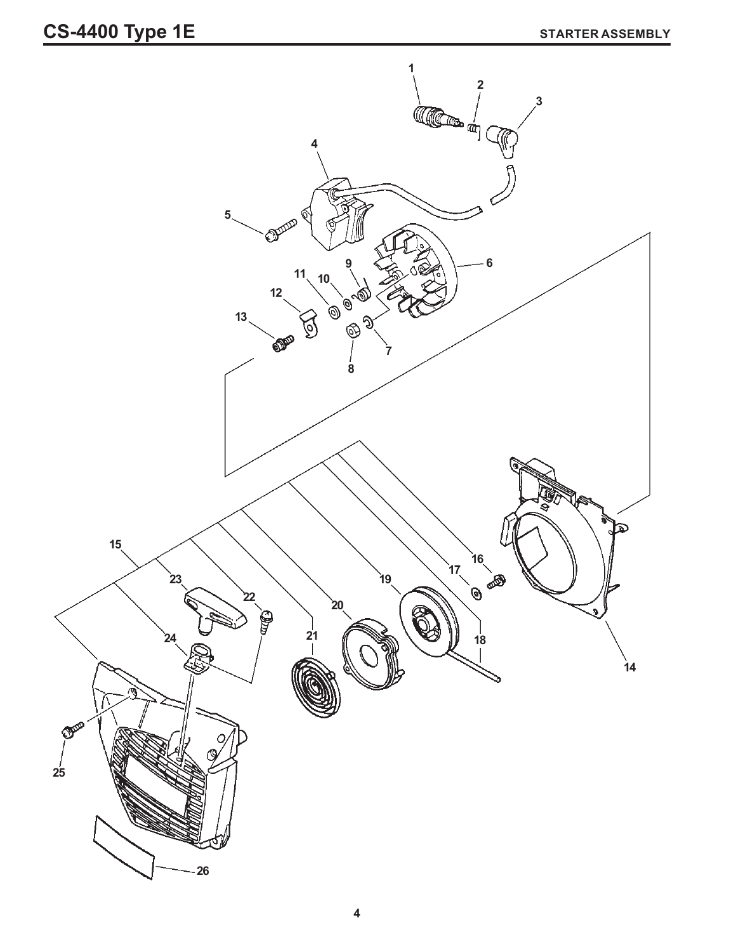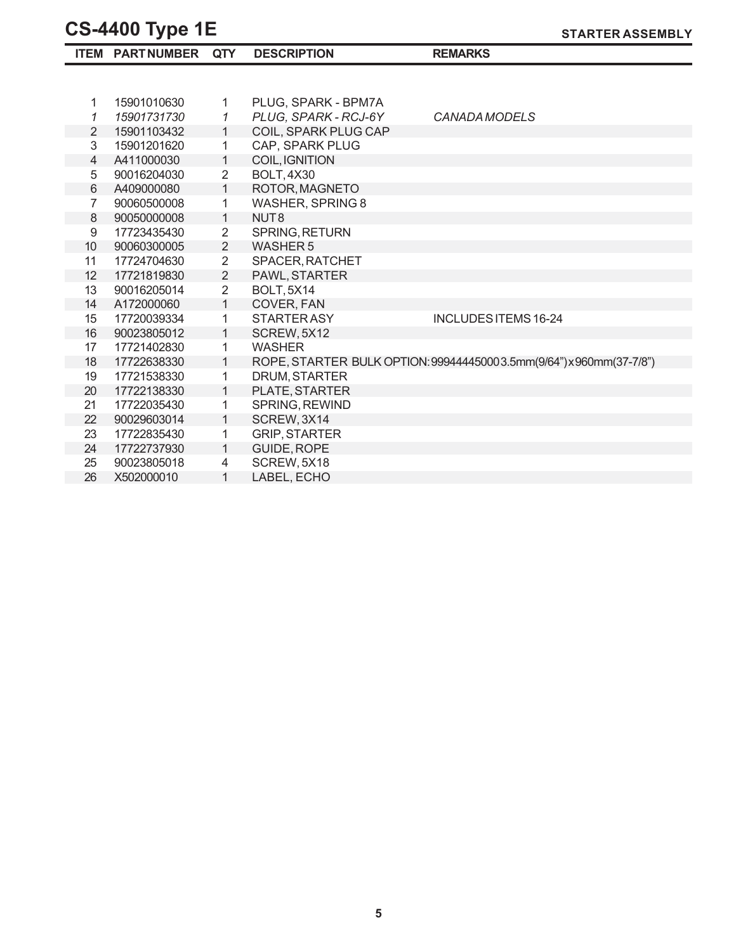22 90029603014

1 SCREW, 3X14

1 GUIDE, ROPE

LABEL, ECHO

17722835430 1 GRIP, STARTER

90023805018 4 SCREW, 5X18<br>X502000010 1 LABEL, ECHO

24 17722737930

26 X502000010

23

25

|                 | <b>CS-4400 Type TE</b> |                |                      | <b>STARTER ASSEMBLY</b>                                             |
|-----------------|------------------------|----------------|----------------------|---------------------------------------------------------------------|
|                 | <b>ITEM PARTNUMBER</b> | QTY            | <b>DESCRIPTION</b>   | <b>REMARKS</b>                                                      |
|                 |                        |                |                      |                                                                     |
| 1               | 15901010630            | 1              | PLUG, SPARK - BPM7A  |                                                                     |
| 1               | 15901731730            | 1              | PLUG, SPARK - RCJ-6Y | <b>CANADA MODELS</b>                                                |
| $\overline{2}$  | 15901103432            | 1              | COIL, SPARK PLUG CAP |                                                                     |
| 3               | 15901201620            | 1              | CAP, SPARK PLUG      |                                                                     |
| 4               | A411000030             | 1              | COIL, IGNITION       |                                                                     |
| 5               | 90016204030            | $\overline{2}$ | <b>BOLT, 4X30</b>    |                                                                     |
| 6               | A409000080             | 1              | ROTOR, MAGNETO       |                                                                     |
| 7               | 90060500008            | 1              | WASHER, SPRING 8     |                                                                     |
| 8               | 90050000008            | 1              | NUT <sub>8</sub>     |                                                                     |
| 9               | 17723435430            | $\overline{2}$ | SPRING, RETURN       |                                                                     |
| 10 <sup>°</sup> | 90060300005            | $\overline{2}$ | <b>WASHER 5</b>      |                                                                     |
| 11              | 17724704630            | $\overline{2}$ | SPACER, RATCHET      |                                                                     |
| 12              | 17721819830            | $\overline{2}$ | PAWL, STARTER        |                                                                     |
| 13              | 90016205014            | $\overline{2}$ | <b>BOLT, 5X14</b>    |                                                                     |
| 14              | A172000060             | 1              | COVER, FAN           |                                                                     |
| 15              | 17720039334            | 1              | <b>STARTERASY</b>    | INCLUDES ITEMS 16-24                                                |
| 16              | 90023805012            | 1              | SCREW, 5X12          |                                                                     |
| 17              | 17721402830            | 1              | <b>WASHER</b>        |                                                                     |
| 18              | 17722638330            | 1              |                      | ROPE, STARTER BULK OPTION: 999444450003.5mm(9/64") x 960mm(37-7/8") |
| 19              | 17721538330            | 1              | DRUM, STARTER        |                                                                     |
| 20              | 17722138330            | 1              | PLATE, STARTER       |                                                                     |
| 21              | 17722035430            | 1              | SPRING, REWIND       |                                                                     |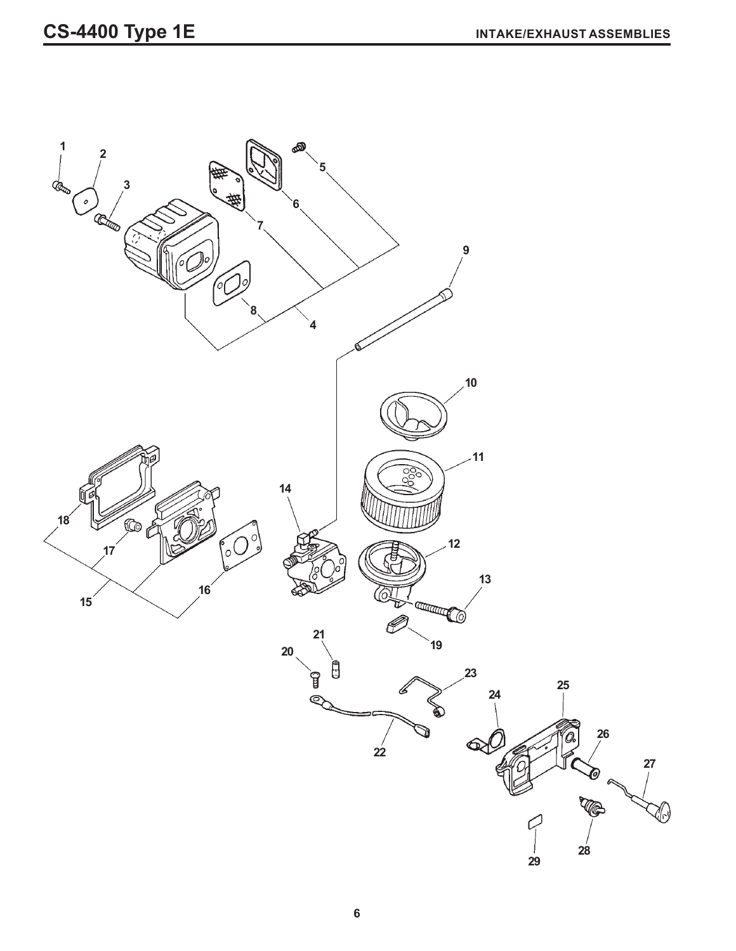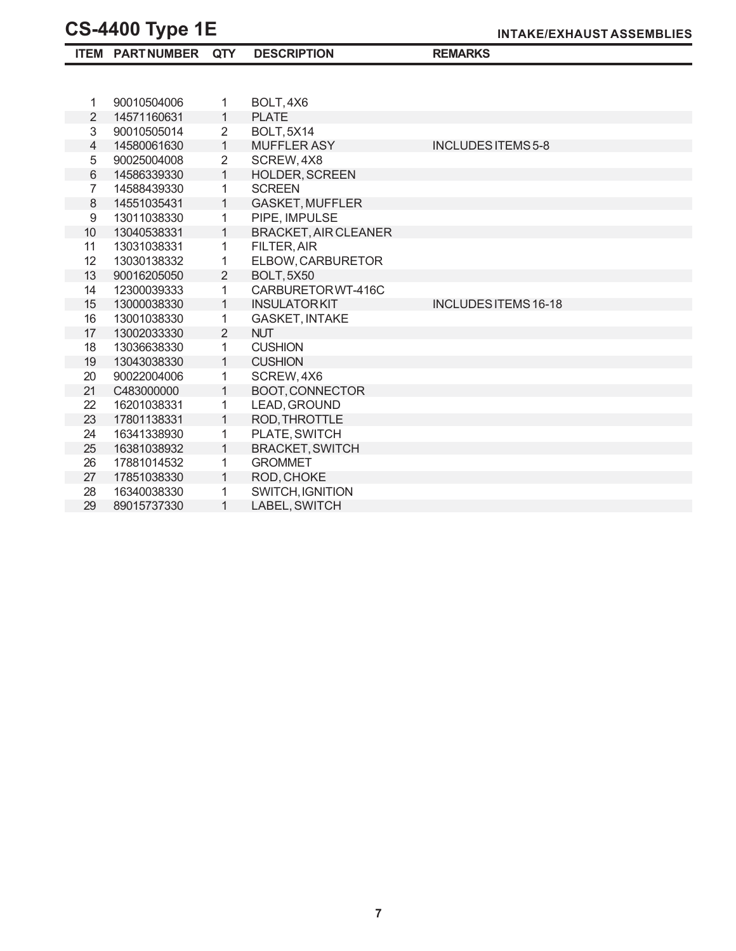|                | <b>ITEM PARTNUMBER</b> | <b>QTY</b>     | <b>DESCRIPTION</b>          | <b>REMARKS</b>              |
|----------------|------------------------|----------------|-----------------------------|-----------------------------|
|                |                        |                |                             |                             |
|                |                        |                |                             |                             |
| 1              | 90010504006            | 1              | BOLT, 4X6                   |                             |
| $\overline{2}$ | 14571160631            | 1              | <b>PLATE</b>                |                             |
| 3              | 90010505014            | $\overline{2}$ | <b>BOLT, 5X14</b>           |                             |
| 4              | 14580061630            | $\mathbf{1}$   | <b>MUFFLER ASY</b>          | <b>INCLUDES ITEMS 5-8</b>   |
| 5              | 90025004008            | $\overline{2}$ | SCREW, 4X8                  |                             |
| 6              | 14586339330            | $\mathbf{1}$   | <b>HOLDER, SCREEN</b>       |                             |
| 7              | 14588439330            | 1              | <b>SCREEN</b>               |                             |
| 8              | 14551035431            | 1              | <b>GASKET, MUFFLER</b>      |                             |
| 9              | 13011038330            | 1              | PIPE, IMPULSE               |                             |
| 10             | 13040538331            | 1              | <b>BRACKET, AIR CLEANER</b> |                             |
| 11             | 13031038331            | 1              | <b>FILTER, AIR</b>          |                             |
| 12             | 13030138332            | 1              | ELBOW, CARBURETOR           |                             |
| 13             | 90016205050            | $\overline{2}$ | <b>BOLT, 5X50</b>           |                             |
| 14             | 12300039333            | 1              | CARBURETOR WT-416C          |                             |
| 15             | 13000038330            | 1              | <b>INSULATORKIT</b>         | <b>INCLUDES ITEMS 16-18</b> |
| 16             | 13001038330            | 1              | <b>GASKET, INTAKE</b>       |                             |
| 17             | 13002033330            | $\overline{2}$ | <b>NUT</b>                  |                             |
| 18             | 13036638330            | 1              | <b>CUSHION</b>              |                             |
| 19             | 13043038330            | $\mathbf{1}$   | <b>CUSHION</b>              |                             |
| 20             | 90022004006            | 1              | SCREW, 4X6                  |                             |
| 21             | C483000000             | 1              | BOOT, CONNECTOR             |                             |
| 22             | 16201038331            | 1              | LEAD, GROUND                |                             |
| 23             | 17801138331            | $\mathbf{1}$   | ROD, THROTTLE               |                             |
| 24             | 16341338930            | 1              | PLATE, SWITCH               |                             |
| 25             | 16381038932            | 1              | <b>BRACKET, SWITCH</b>      |                             |
| 26             | 17881014532            | 1              | <b>GROMMET</b>              |                             |
| 27             | 17851038330            | $\mathbf{1}$   | ROD, CHOKE                  |                             |
| 28             | 16340038330            | 1              | SWITCH, IGNITION            |                             |
| 29             | 89015737330            | 1              | LABEL, SWITCH               |                             |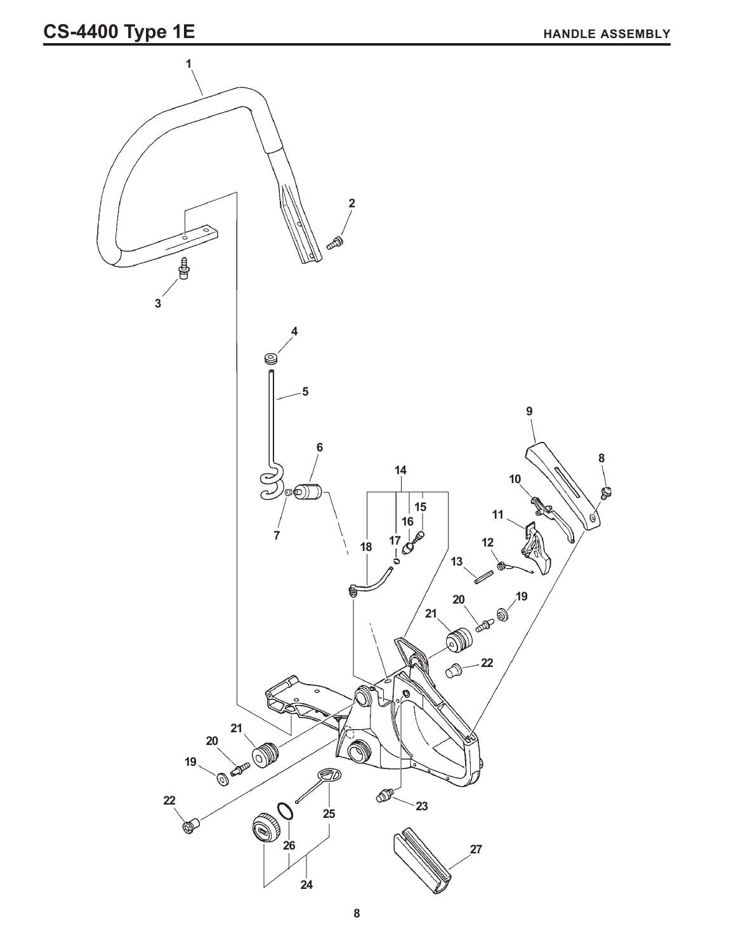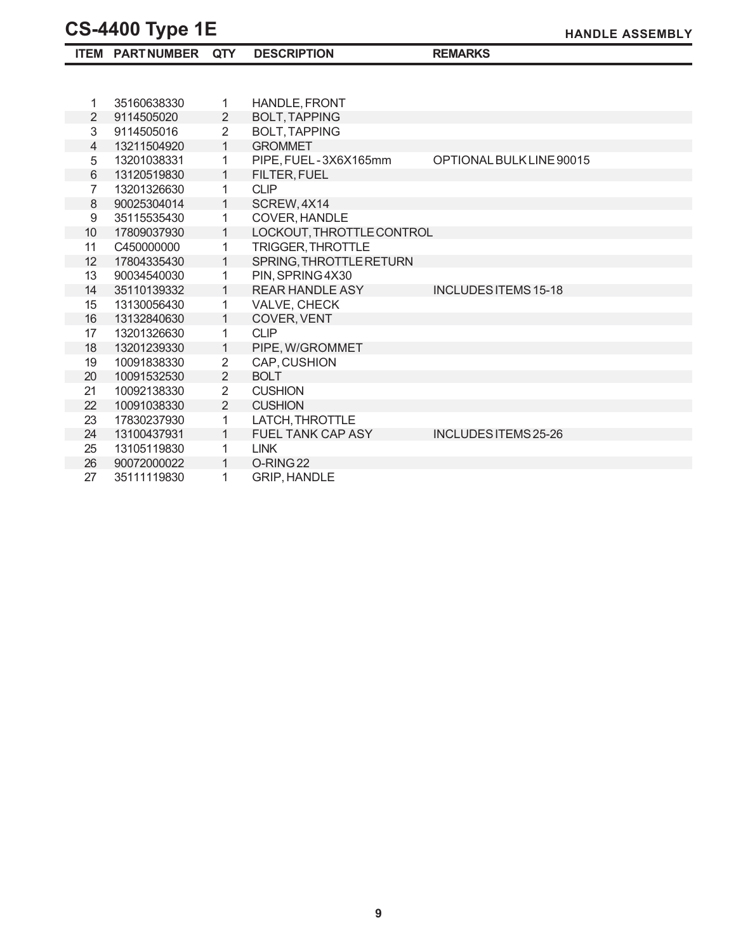|                  | <b>ITEM PARTNUMBER</b> | <b>QTY</b>     | <b>DESCRIPTION</b>        | <b>REMARKS</b>              |
|------------------|------------------------|----------------|---------------------------|-----------------------------|
|                  |                        |                |                           |                             |
|                  |                        |                |                           |                             |
| 1                | 35160638330            | 1              | <b>HANDLE, FRONT</b>      |                             |
| $\overline{2}$   | 9114505020             | 2              | <b>BOLT, TAPPING</b>      |                             |
| 3                | 9114505016             | $\overline{2}$ | <b>BOLT, TAPPING</b>      |                             |
| 4                | 13211504920            | $\mathbf{1}$   | <b>GROMMET</b>            |                             |
| 5                | 13201038331            | 1              | PIPE, FUEL-3X6X165mm      | OPTIONAL BULK LINE 90015    |
| 6                | 13120519830            | 1              | <b>FILTER, FUEL</b>       |                             |
| $\overline{7}$   | 13201326630            | 1              | <b>CLIP</b>               |                             |
| $\,8\,$          | 90025304014            | 1              | SCREW, 4X14               |                             |
| $\boldsymbol{9}$ | 35115535430            | 1              | COVER, HANDLE             |                             |
| 10               | 17809037930            | 1              | LOCKOUT, THROTTLE CONTROL |                             |
| 11               | C450000000             | 1              | <b>TRIGGER, THROTTLE</b>  |                             |
| 12               | 17804335430            | 1              | SPRING, THROTTLE RETURN   |                             |
| 13               | 90034540030            | 1              | PIN, SPRING 4X30          |                             |
| 14               | 35110139332            | 1              | <b>REAR HANDLE ASY</b>    | <b>INCLUDES ITEMS 15-18</b> |
| 15               | 13130056430            | 1              | VALVE, CHECK              |                             |
| 16               | 13132840630            | 1              | COVER, VENT               |                             |
| 17               | 13201326630            | 1              | <b>CLIP</b>               |                             |
| 18               | 13201239330            | 1              | PIPE, W/GROMMET           |                             |
| 19               | 10091838330            | $\overline{2}$ | CAP, CUSHION              |                             |
| 20               | 10091532530            | $\overline{2}$ | <b>BOLT</b>               |                             |
| 21               | 10092138330            | $\overline{2}$ | <b>CUSHION</b>            |                             |
| 22               | 10091038330            | $\overline{2}$ | <b>CUSHION</b>            |                             |
| 23               | 17830237930            | $\mathbf{1}$   | LATCH, THROTTLE           |                             |
| 24               | 13100437931            | 1              | <b>FUEL TANK CAP ASY</b>  | INCLUDES ITEMS 25-26        |
| 25               | 13105119830            | 1              | <b>LINK</b>               |                             |
| 26               | 90072000022            | 1              | O-RING <sub>22</sub>      |                             |
| 27               | 35111119830            | 1              | <b>GRIP, HANDLE</b>       |                             |

**HANDLE ASSEMBLY**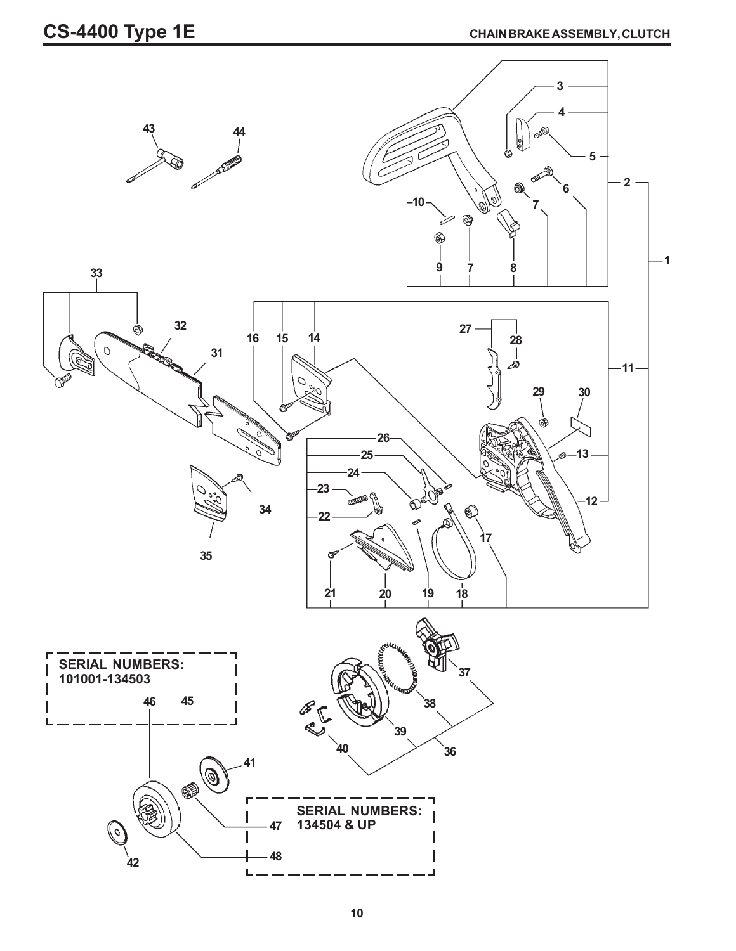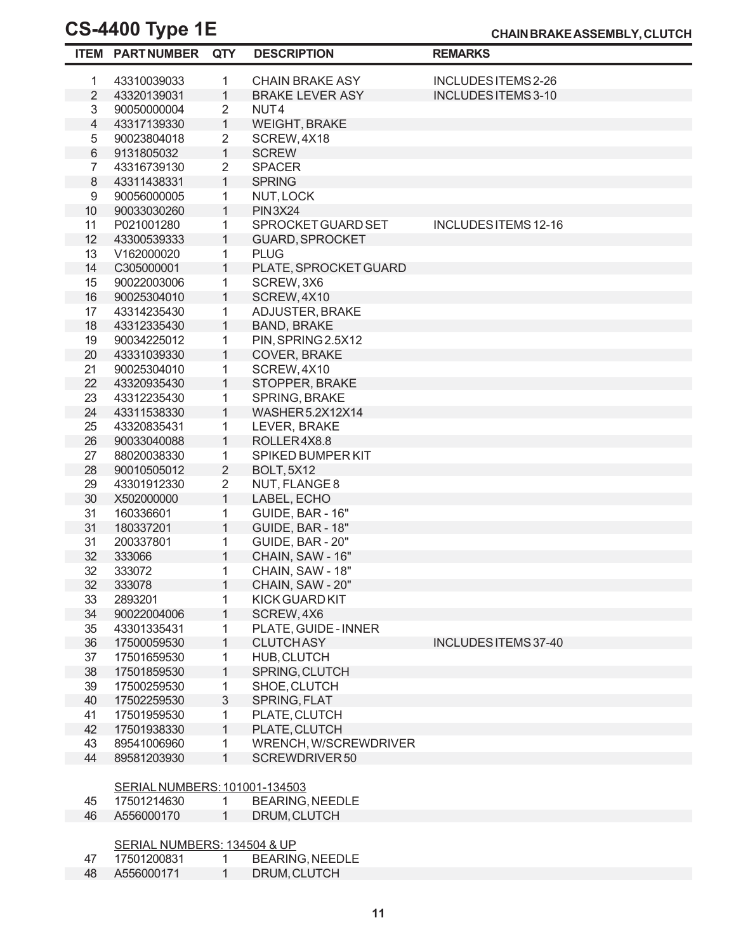|                | <b>ITEM PARTNUMBER</b>        | <b>QTY</b>        | <b>DESCRIPTION</b>     | <b>REMARKS</b>       |  |
|----------------|-------------------------------|-------------------|------------------------|----------------------|--|
| 1              | 43310039033                   | 1                 | <b>CHAIN BRAKE ASY</b> | INCLUDES ITEMS 2-26  |  |
| $\overline{2}$ | 43320139031                   | $\mathbf{1}$      | <b>BRAKE LEVER ASY</b> | INCLUDES ITEMS 3-10  |  |
| 3              | 90050000004                   | 2                 | NUT <sub>4</sub>       |                      |  |
| $\overline{4}$ | 43317139330                   | $\mathbf{1}$      | <b>WEIGHT, BRAKE</b>   |                      |  |
| 5              | 90023804018                   | $\overline{2}$    | SCREW, 4X18            |                      |  |
| 6              | 9131805032                    | $\mathbf{1}$      | <b>SCREW</b>           |                      |  |
| $\overline{7}$ | 43316739130                   | $\overline{2}$    | <b>SPACER</b>          |                      |  |
| 8              | 43311438331                   | 1                 | <b>SPRING</b>          |                      |  |
| 9              | 90056000005                   | 1                 | NUT, LOCK              |                      |  |
| 10             | 90033030260                   | $\mathbf{1}$      | <b>PIN3X24</b>         |                      |  |
| 11             | P021001280                    | 1                 | SPROCKET GUARD SET     | INCLUDES ITEMS 12-16 |  |
| 12             | 43300539333                   | $\mathbf{1}$      | <b>GUARD, SPROCKET</b> |                      |  |
| 13             | V162000020                    | 1                 | <b>PLUG</b>            |                      |  |
| 14             | C305000001                    | $\mathbf{1}$      | PLATE, SPROCKET GUARD  |                      |  |
| 15             | 90022003006                   | 1                 | SCREW, 3X6             |                      |  |
| 16             | 90025304010                   | $\mathbf{1}$      | SCREW, 4X10            |                      |  |
| 17             | 43314235430                   | 1                 | ADJUSTER, BRAKE        |                      |  |
| 18             | 43312335430                   | $\mathbf{1}$      | <b>BAND, BRAKE</b>     |                      |  |
| 19             | 90034225012                   | 1                 | PIN, SPRING 2.5X12     |                      |  |
| 20             | 43331039330                   | $\mathbf{1}$      | COVER, BRAKE           |                      |  |
| 21             | 90025304010                   | 1                 | SCREW, 4X10            |                      |  |
| 22             | 43320935430                   | $\mathbf{1}$      | STOPPER, BRAKE         |                      |  |
| 23             | 43312235430                   | 1                 | SPRING, BRAKE          |                      |  |
| 24             | 43311538330                   | $\mathbf{1}$      | WASHER5.2X12X14        |                      |  |
| 25             | 43320835431                   | 1                 | LEVER, BRAKE           |                      |  |
| 26             | 90033040088                   | $\mathbf{1}$      | ROLLER4X8.8            |                      |  |
| 27             | 88020038330                   | 1                 | SPIKED BUMPER KIT      |                      |  |
| 28             | 90010505012                   | $\overline{2}$    | <b>BOLT, 5X12</b>      |                      |  |
| 29             | 43301912330                   | $\overline{2}$    | NUT, FLANGE 8          |                      |  |
| 30             | X502000000                    | $\mathbf{1}$      | LABEL, ECHO            |                      |  |
| 31             | 160336601                     | 1                 | GUIDE, BAR - 16"       |                      |  |
| 31             | 180337201                     | $\mathbf{1}$      | GUIDE, BAR - 18"       |                      |  |
| 31             | 200337801                     | 1                 | GUIDE, BAR - 20"       |                      |  |
| 32             | 333066                        | $\mathbf{1}$      | CHAIN, SAW - 16"       |                      |  |
| 32             | 333072                        | 1                 | CHAIN, SAW - 18"       |                      |  |
| 32             | 333078                        | 1                 | CHAIN, SAW - 20"       |                      |  |
| 33             | 2893201                       | 1                 | <b>KICK GUARD KIT</b>  |                      |  |
| 34             | 90022004006                   | $\mathbf{1}$      | SCREW, 4X6             |                      |  |
| 35             | 43301335431                   | 1                 | PLATE, GUIDE - INNER   |                      |  |
| 36             | 17500059530                   | $\mathbf{1}$      | <b>CLUTCHASY</b>       | INCLUDES ITEMS 37-40 |  |
| 37             | 17501659530                   | 1                 | HUB, CLUTCH            |                      |  |
| 38             | 17501859530                   | $\mathbf{1}$      | SPRING, CLUTCH         |                      |  |
| 39             | 17500259530                   | 1                 | SHOE, CLUTCH           |                      |  |
| 40             | 17502259530                   | 3                 | SPRING, FLAT           |                      |  |
| 41             | 17501959530                   | 1                 | PLATE, CLUTCH          |                      |  |
| 42             | 17501938330                   | $\mathbf{1}$      | PLATE, CLUTCH          |                      |  |
| 43             | 89541006960                   | 1                 | WRENCH, W/SCREWDRIVER  |                      |  |
| 44             | 89581203930                   | $\mathbf{1}$      | SCREWDRIVER 50         |                      |  |
|                |                               |                   |                        |                      |  |
|                | SERIAL NUMBERS: 101001-134503 |                   |                        |                      |  |
| 45             | 17501214630                   | $\mathbf{1}$      | <b>BEARING, NEEDLE</b> |                      |  |
| 46             | A556000170                    | $\mathbf{1}$      | DRUM, CLUTCH           |                      |  |
|                | SERIAL NUMBERS: 134504 & UP   |                   |                        |                      |  |
| 47             | 17501200831                   |                   | <b>BEARING, NEEDLE</b> |                      |  |
| 48             | A556000171                    | $\mathbf{1}$<br>1 | DRUM, CLUTCH           |                      |  |
|                |                               |                   |                        |                      |  |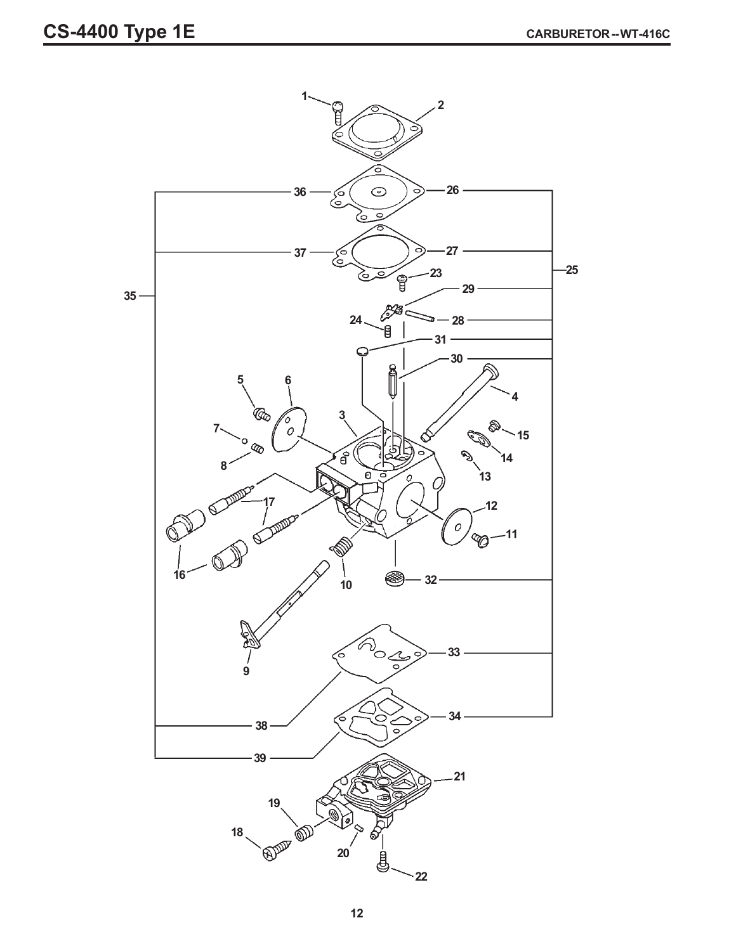